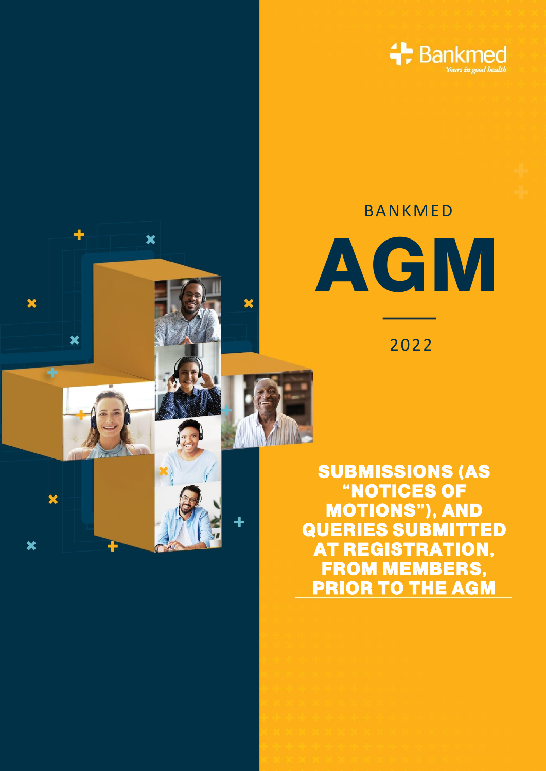

## BANKMED

 $\overline{\textbf{x}}$ 

 $\overline{\mathbf{x}}$ 

¥



2022

**SUBMISSIONS (AS "NOTICES OF MOTIONS"), AND QUERIES SUBMITTED AT REGISTRATION, FROM MEMBERS, PRIOR TO THE AGM**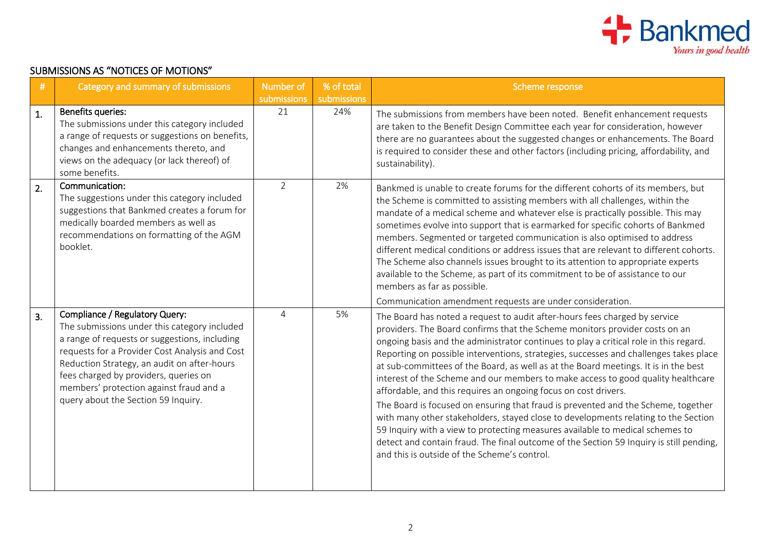

## SUBMISSIONS AS "NOTICES OF MOTIONS"

| #  | Category and summary of submissions                                                                                                                                                                                                                                                                                                                         | Number of      | % of total  | Scheme response                                                                                                                                                                                                                                                                                                                                                                                                                                                                                                                                                                                                                                                                                                                                                                                                                                                                                                                                                                                  |
|----|-------------------------------------------------------------------------------------------------------------------------------------------------------------------------------------------------------------------------------------------------------------------------------------------------------------------------------------------------------------|----------------|-------------|--------------------------------------------------------------------------------------------------------------------------------------------------------------------------------------------------------------------------------------------------------------------------------------------------------------------------------------------------------------------------------------------------------------------------------------------------------------------------------------------------------------------------------------------------------------------------------------------------------------------------------------------------------------------------------------------------------------------------------------------------------------------------------------------------------------------------------------------------------------------------------------------------------------------------------------------------------------------------------------------------|
|    |                                                                                                                                                                                                                                                                                                                                                             | submissions    | submissions |                                                                                                                                                                                                                                                                                                                                                                                                                                                                                                                                                                                                                                                                                                                                                                                                                                                                                                                                                                                                  |
| 1. | Benefits queries:<br>The submissions under this category included<br>a range of requests or suggestions on benefits,<br>changes and enhancements thereto, and<br>views on the adequacy (or lack thereof) of<br>some benefits.                                                                                                                               | 21             | 24%         | The submissions from members have been noted. Benefit enhancement requests<br>are taken to the Benefit Design Committee each year for consideration, however<br>there are no guarantees about the suggested changes or enhancements. The Board<br>is required to consider these and other factors (including pricing, affordability, and<br>sustainability).                                                                                                                                                                                                                                                                                                                                                                                                                                                                                                                                                                                                                                     |
| 2. | Communication:<br>The suggestions under this category included<br>suggestions that Bankmed creates a forum for<br>medically boarded members as well as<br>recommendations on formatting of the AGM<br>booklet.                                                                                                                                              | $\overline{2}$ | 2%          | Bankmed is unable to create forums for the different cohorts of its members, but<br>the Scheme is committed to assisting members with all challenges, within the<br>mandate of a medical scheme and whatever else is practically possible. This may<br>sometimes evolve into support that is earmarked for specific cohorts of Bankmed<br>members. Segmented or targeted communication is also optimised to address<br>different medical conditions or address issues that are relevant to different cohorts.<br>The Scheme also channels issues brought to its attention to appropriate experts<br>available to the Scheme, as part of its commitment to be of assistance to our<br>members as far as possible.<br>Communication amendment requests are under consideration.                                                                                                                                                                                                                    |
| 3. | Compliance / Regulatory Query:<br>The submissions under this category included<br>a range of requests or suggestions, including<br>requests for a Provider Cost Analysis and Cost<br>Reduction Strategy, an audit on after-hours<br>fees charged by providers, queries on<br>members' protection against fraud and a<br>query about the Section 59 Inquiry. | $\overline{4}$ | 5%          | The Board has noted a request to audit after-hours fees charged by service<br>providers. The Board confirms that the Scheme monitors provider costs on an<br>ongoing basis and the administrator continues to play a critical role in this regard.<br>Reporting on possible interventions, strategies, successes and challenges takes place<br>at sub-committees of the Board, as well as at the Board meetings. It is in the best<br>interest of the Scheme and our members to make access to good quality healthcare<br>affordable, and this requires an ongoing focus on cost drivers.<br>The Board is focused on ensuring that fraud is prevented and the Scheme, together<br>with many other stakeholders, stayed close to developments relating to the Section<br>59 Inquiry with a view to protecting measures available to medical schemes to<br>detect and contain fraud. The final outcome of the Section 59 Inquiry is still pending,<br>and this is outside of the Scheme's control. |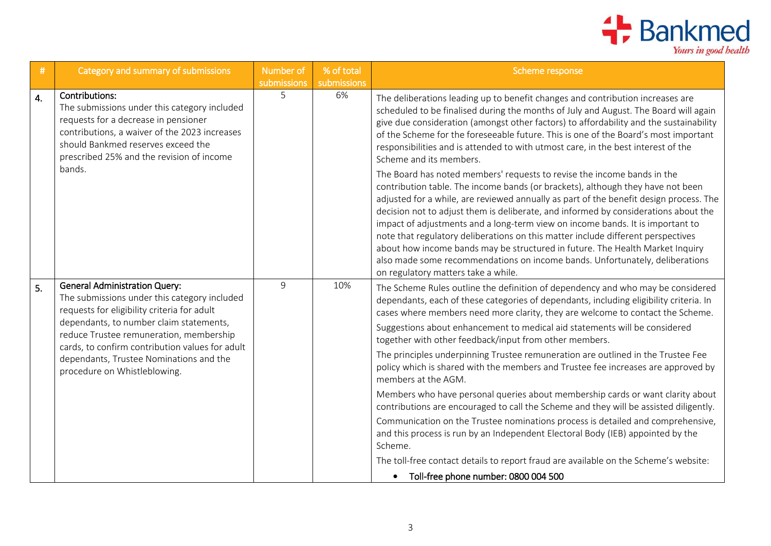

| #                | Category and summary of submissions                                                                                                                                                                                                                                                                                                                     | Number of<br>submissions | % of total<br>submissions | Scheme response                                                                                                                                                                                                                                                                                                                                                                                                                                                                                                                                                                                                                                                                                                                                                                                                                                                                                                                                                                                                                                                                                                                                                                                      |
|------------------|---------------------------------------------------------------------------------------------------------------------------------------------------------------------------------------------------------------------------------------------------------------------------------------------------------------------------------------------------------|--------------------------|---------------------------|------------------------------------------------------------------------------------------------------------------------------------------------------------------------------------------------------------------------------------------------------------------------------------------------------------------------------------------------------------------------------------------------------------------------------------------------------------------------------------------------------------------------------------------------------------------------------------------------------------------------------------------------------------------------------------------------------------------------------------------------------------------------------------------------------------------------------------------------------------------------------------------------------------------------------------------------------------------------------------------------------------------------------------------------------------------------------------------------------------------------------------------------------------------------------------------------------|
| $\overline{4}$ . | Contributions:<br>The submissions under this category included<br>requests for a decrease in pensioner<br>contributions, a waiver of the 2023 increases<br>should Bankmed reserves exceed the<br>prescribed 25% and the revision of income<br>bands.                                                                                                    | 5                        | 6%                        | The deliberations leading up to benefit changes and contribution increases are<br>scheduled to be finalised during the months of July and August. The Board will again<br>give due consideration (amongst other factors) to affordability and the sustainability<br>of the Scheme for the foreseeable future. This is one of the Board's most important<br>responsibilities and is attended to with utmost care, in the best interest of the<br>Scheme and its members.<br>The Board has noted members' requests to revise the income bands in the<br>contribution table. The income bands (or brackets), although they have not been<br>adjusted for a while, are reviewed annually as part of the benefit design process. The<br>decision not to adjust them is deliberate, and informed by considerations about the<br>impact of adjustments and a long-term view on income bands. It is important to<br>note that regulatory deliberations on this matter include different perspectives<br>about how income bands may be structured in future. The Health Market Inquiry<br>also made some recommendations on income bands. Unfortunately, deliberations<br>on regulatory matters take a while. |
| 5.               | <b>General Administration Query:</b><br>The submissions under this category included<br>requests for eligibility criteria for adult<br>dependants, to number claim statements,<br>reduce Trustee remuneration, membership<br>cards, to confirm contribution values for adult<br>dependants, Trustee Nominations and the<br>procedure on Whistleblowing. | 9                        | 10%                       | The Scheme Rules outline the definition of dependency and who may be considered<br>dependants, each of these categories of dependants, including eligibility criteria. In<br>cases where members need more clarity, they are welcome to contact the Scheme.<br>Suggestions about enhancement to medical aid statements will be considered<br>together with other feedback/input from other members.<br>The principles underpinning Trustee remuneration are outlined in the Trustee Fee<br>policy which is shared with the members and Trustee fee increases are approved by<br>members at the AGM.<br>Members who have personal queries about membership cards or want clarity about<br>contributions are encouraged to call the Scheme and they will be assisted diligently.<br>Communication on the Trustee nominations process is detailed and comprehensive,<br>and this process is run by an Independent Electoral Body (IEB) appointed by the<br>Scheme.<br>The toll-free contact details to report fraud are available on the Scheme's website:<br>• Toll-free phone number: 0800 004 500                                                                                                    |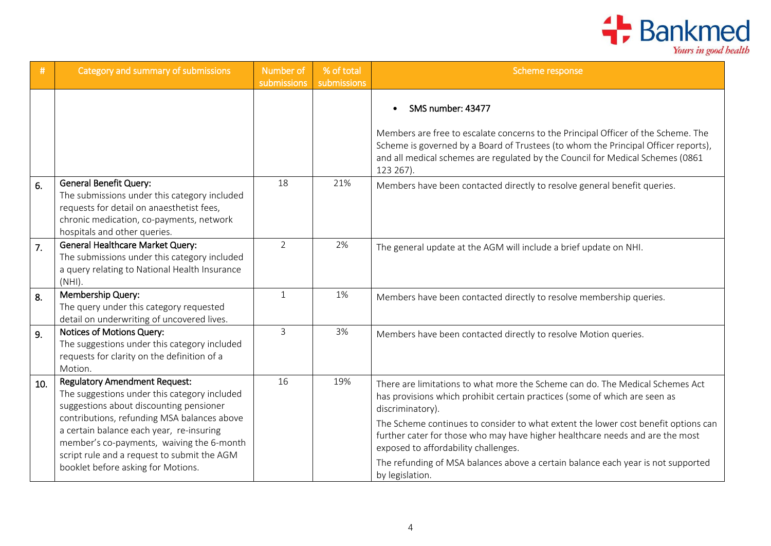

| #                | Category and summary of submissions                                                                                                                                                                                                                                                                                                                          | Number of<br>submissions | % of total<br>submissions | Scheme response                                                                                                                                                                                                                                                                                                                                                                                                                                                                                       |
|------------------|--------------------------------------------------------------------------------------------------------------------------------------------------------------------------------------------------------------------------------------------------------------------------------------------------------------------------------------------------------------|--------------------------|---------------------------|-------------------------------------------------------------------------------------------------------------------------------------------------------------------------------------------------------------------------------------------------------------------------------------------------------------------------------------------------------------------------------------------------------------------------------------------------------------------------------------------------------|
|                  |                                                                                                                                                                                                                                                                                                                                                              |                          |                           | SMS number: 43477<br>Members are free to escalate concerns to the Principal Officer of the Scheme. The<br>Scheme is governed by a Board of Trustees (to whom the Principal Officer reports),<br>and all medical schemes are regulated by the Council for Medical Schemes (0861<br>123 267).                                                                                                                                                                                                           |
| 6.               | <b>General Benefit Query:</b><br>The submissions under this category included<br>requests for detail on anaesthetist fees,<br>chronic medication, co-payments, network<br>hospitals and other queries.                                                                                                                                                       | 18                       | 21%                       | Members have been contacted directly to resolve general benefit queries.                                                                                                                                                                                                                                                                                                                                                                                                                              |
| $\overline{7}$ . | <b>General Healthcare Market Query:</b><br>The submissions under this category included<br>a query relating to National Health Insurance<br>$(NHI)$ .                                                                                                                                                                                                        | $\overline{2}$           | 2%                        | The general update at the AGM will include a brief update on NHI.                                                                                                                                                                                                                                                                                                                                                                                                                                     |
| 8.               | Membership Query:<br>The query under this category requested<br>detail on underwriting of uncovered lives.                                                                                                                                                                                                                                                   | $\mathbf{1}$             | 1%                        | Members have been contacted directly to resolve membership queries.                                                                                                                                                                                                                                                                                                                                                                                                                                   |
| 9 <sub>1</sub>   | Notices of Motions Query:<br>The suggestions under this category included<br>requests for clarity on the definition of a<br>Motion.                                                                                                                                                                                                                          | $\overline{3}$           | 3%                        | Members have been contacted directly to resolve Motion queries.                                                                                                                                                                                                                                                                                                                                                                                                                                       |
| 10.              | <b>Regulatory Amendment Request:</b><br>The suggestions under this category included<br>suggestions about discounting pensioner<br>contributions, refunding MSA balances above<br>a certain balance each year, re-insuring<br>member's co-payments, waiving the 6-month<br>script rule and a request to submit the AGM<br>booklet before asking for Motions. | 16                       | 19%                       | There are limitations to what more the Scheme can do. The Medical Schemes Act<br>has provisions which prohibit certain practices (some of which are seen as<br>discriminatory).<br>The Scheme continues to consider to what extent the lower cost benefit options can<br>further cater for those who may have higher healthcare needs and are the most<br>exposed to affordability challenges.<br>The refunding of MSA balances above a certain balance each year is not supported<br>by legislation. |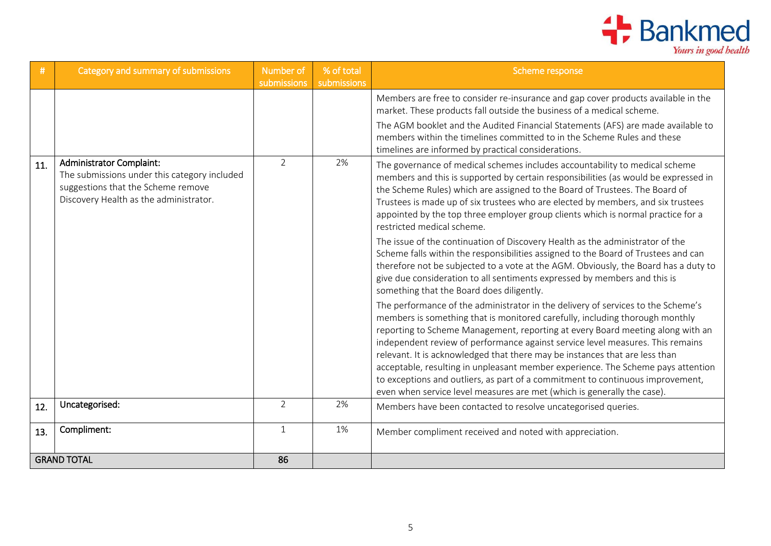

| #   | Category and summary of submissions                                                                                                                             | Number of<br>submissions | % of total<br>submissions | Scheme response                                                                                                                                                                                                                                                                                                                                                                                                                                                                                                                                                                                                                                                      |
|-----|-----------------------------------------------------------------------------------------------------------------------------------------------------------------|--------------------------|---------------------------|----------------------------------------------------------------------------------------------------------------------------------------------------------------------------------------------------------------------------------------------------------------------------------------------------------------------------------------------------------------------------------------------------------------------------------------------------------------------------------------------------------------------------------------------------------------------------------------------------------------------------------------------------------------------|
|     |                                                                                                                                                                 |                          |                           | Members are free to consider re-insurance and gap cover products available in the<br>market. These products fall outside the business of a medical scheme.<br>The AGM booklet and the Audited Financial Statements (AFS) are made available to<br>members within the timelines committed to in the Scheme Rules and these                                                                                                                                                                                                                                                                                                                                            |
|     |                                                                                                                                                                 |                          |                           | timelines are informed by practical considerations.                                                                                                                                                                                                                                                                                                                                                                                                                                                                                                                                                                                                                  |
| 11. | <b>Administrator Complaint:</b><br>The submissions under this category included<br>suggestions that the Scheme remove<br>Discovery Health as the administrator. | $\overline{2}$           | 2%                        | The governance of medical schemes includes accountability to medical scheme<br>members and this is supported by certain responsibilities (as would be expressed in<br>the Scheme Rules) which are assigned to the Board of Trustees. The Board of<br>Trustees is made up of six trustees who are elected by members, and six trustees<br>appointed by the top three employer group clients which is normal practice for a<br>restricted medical scheme.                                                                                                                                                                                                              |
|     |                                                                                                                                                                 |                          |                           | The issue of the continuation of Discovery Health as the administrator of the<br>Scheme falls within the responsibilities assigned to the Board of Trustees and can<br>therefore not be subjected to a vote at the AGM. Obviously, the Board has a duty to<br>give due consideration to all sentiments expressed by members and this is<br>something that the Board does diligently.                                                                                                                                                                                                                                                                                 |
|     |                                                                                                                                                                 |                          |                           | The performance of the administrator in the delivery of services to the Scheme's<br>members is something that is monitored carefully, including thorough monthly<br>reporting to Scheme Management, reporting at every Board meeting along with an<br>independent review of performance against service level measures. This remains<br>relevant. It is acknowledged that there may be instances that are less than<br>acceptable, resulting in unpleasant member experience. The Scheme pays attention<br>to exceptions and outliers, as part of a commitment to continuous improvement,<br>even when service level measures are met (which is generally the case). |
| 12. | Uncategorised:                                                                                                                                                  | $\overline{2}$           | 2%                        | Members have been contacted to resolve uncategorised queries.                                                                                                                                                                                                                                                                                                                                                                                                                                                                                                                                                                                                        |
| 13. | Compliment:                                                                                                                                                     | $\mathbf{1}$             | 1%                        | Member compliment received and noted with appreciation.                                                                                                                                                                                                                                                                                                                                                                                                                                                                                                                                                                                                              |
|     | <b>GRAND TOTAL</b>                                                                                                                                              |                          |                           |                                                                                                                                                                                                                                                                                                                                                                                                                                                                                                                                                                                                                                                                      |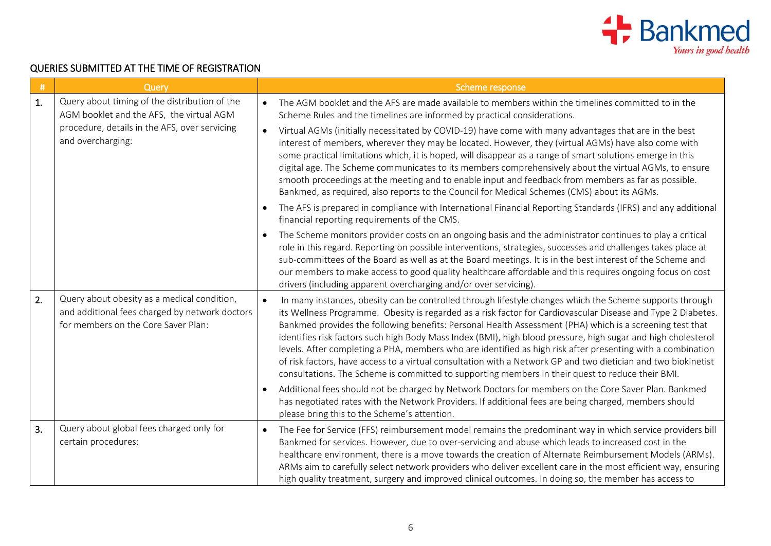

## QUERIES SUBMITTED AT THE TIME OF REGISTRATION

| #  | Query                                                                                                                                | Scheme response                                                                                                                                                                                                                                                                                                                                                                                                                                                                                                                                                                                                                                                                                                                                                                                         |
|----|--------------------------------------------------------------------------------------------------------------------------------------|---------------------------------------------------------------------------------------------------------------------------------------------------------------------------------------------------------------------------------------------------------------------------------------------------------------------------------------------------------------------------------------------------------------------------------------------------------------------------------------------------------------------------------------------------------------------------------------------------------------------------------------------------------------------------------------------------------------------------------------------------------------------------------------------------------|
| 1. | Query about timing of the distribution of the<br>AGM booklet and the AFS, the virtual AGM                                            | The AGM booklet and the AFS are made available to members within the timelines committed to in the<br>$\bullet$<br>Scheme Rules and the timelines are informed by practical considerations.                                                                                                                                                                                                                                                                                                                                                                                                                                                                                                                                                                                                             |
|    | procedure, details in the AFS, over servicing<br>and overcharging:                                                                   | Virtual AGMs (initially necessitated by COVID-19) have come with many advantages that are in the best<br>$\bullet$<br>interest of members, wherever they may be located. However, they (virtual AGMs) have also come with<br>some practical limitations which, it is hoped, will disappear as a range of smart solutions emerge in this<br>digital age. The Scheme communicates to its members comprehensively about the virtual AGMs, to ensure<br>smooth proceedings at the meeting and to enable input and feedback from members as far as possible.<br>Bankmed, as required, also reports to the Council for Medical Schemes (CMS) about its AGMs.                                                                                                                                                  |
|    |                                                                                                                                      | The AFS is prepared in compliance with International Financial Reporting Standards (IFRS) and any additional<br>$\bullet$<br>financial reporting requirements of the CMS.                                                                                                                                                                                                                                                                                                                                                                                                                                                                                                                                                                                                                               |
|    | $\bullet$                                                                                                                            | The Scheme monitors provider costs on an ongoing basis and the administrator continues to play a critical<br>role in this regard. Reporting on possible interventions, strategies, successes and challenges takes place at<br>sub-committees of the Board as well as at the Board meetings. It is in the best interest of the Scheme and<br>our members to make access to good quality healthcare affordable and this requires ongoing focus on cost<br>drivers (including apparent overcharging and/or over servicing).                                                                                                                                                                                                                                                                                |
| 2. | Query about obesity as a medical condition,<br>and additional fees charged by network doctors<br>for members on the Core Saver Plan: | In many instances, obesity can be controlled through lifestyle changes which the Scheme supports through<br>$\bullet$<br>its Wellness Programme. Obesity is regarded as a risk factor for Cardiovascular Disease and Type 2 Diabetes.<br>Bankmed provides the following benefits: Personal Health Assessment (PHA) which is a screening test that<br>identifies risk factors such high Body Mass Index (BMI), high blood pressure, high sugar and high cholesterol<br>levels. After completing a PHA, members who are identified as high risk after presenting with a combination<br>of risk factors, have access to a virtual consultation with a Network GP and two dietician and two biokinetist<br>consultations. The Scheme is committed to supporting members in their quest to reduce their BMI. |
|    | $\bullet$                                                                                                                            | Additional fees should not be charged by Network Doctors for members on the Core Saver Plan. Bankmed<br>has negotiated rates with the Network Providers. If additional fees are being charged, members should<br>please bring this to the Scheme's attention.                                                                                                                                                                                                                                                                                                                                                                                                                                                                                                                                           |
| 3. | Query about global fees charged only for<br>certain procedures:                                                                      | The Fee for Service (FFS) reimbursement model remains the predominant way in which service providers bill<br>$\bullet$<br>Bankmed for services. However, due to over-servicing and abuse which leads to increased cost in the<br>healthcare environment, there is a move towards the creation of Alternate Reimbursement Models (ARMs).<br>ARMs aim to carefully select network providers who deliver excellent care in the most efficient way, ensuring<br>high quality treatment, surgery and improved clinical outcomes. In doing so, the member has access to                                                                                                                                                                                                                                       |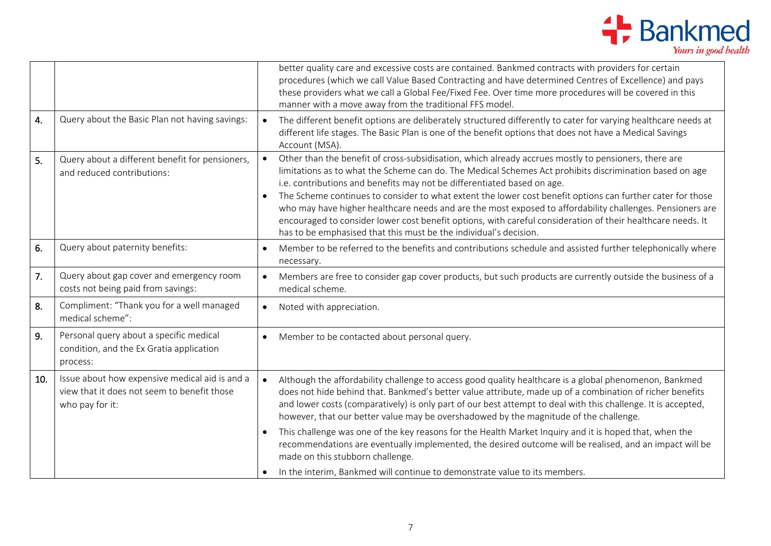

|     |                                                                                                                  | better quality care and excessive costs are contained. Bankmed contracts with providers for certain<br>procedures (which we call Value Based Contracting and have determined Centres of Excellence) and pays<br>these providers what we call a Global Fee/Fixed Fee. Over time more procedures will be covered in this<br>manner with a move away from the traditional FFS model.                                                                                                                                                                                                                                                                                                                         |
|-----|------------------------------------------------------------------------------------------------------------------|-----------------------------------------------------------------------------------------------------------------------------------------------------------------------------------------------------------------------------------------------------------------------------------------------------------------------------------------------------------------------------------------------------------------------------------------------------------------------------------------------------------------------------------------------------------------------------------------------------------------------------------------------------------------------------------------------------------|
| 4.  | Query about the Basic Plan not having savings:                                                                   | The different benefit options are deliberately structured differently to cater for varying healthcare needs at<br>$\bullet$<br>different life stages. The Basic Plan is one of the benefit options that does not have a Medical Savings<br>Account (MSA).                                                                                                                                                                                                                                                                                                                                                                                                                                                 |
| 5.  | Query about a different benefit for pensioners,<br>and reduced contributions:                                    | Other than the benefit of cross-subsidisation, which already accrues mostly to pensioners, there are<br>limitations as to what the Scheme can do. The Medical Schemes Act prohibits discrimination based on age<br>i.e. contributions and benefits may not be differentiated based on age.<br>The Scheme continues to consider to what extent the lower cost benefit options can further cater for those<br>who may have higher healthcare needs and are the most exposed to affordability challenges. Pensioners are<br>encouraged to consider lower cost benefit options, with careful consideration of their healthcare needs. It<br>has to be emphasised that this must be the individual's decision. |
| 6.  | Query about paternity benefits:                                                                                  | Member to be referred to the benefits and contributions schedule and assisted further telephonically where<br>necessary.                                                                                                                                                                                                                                                                                                                                                                                                                                                                                                                                                                                  |
| 7.  | Query about gap cover and emergency room<br>costs not being paid from savings:                                   | Members are free to consider gap cover products, but such products are currently outside the business of a<br>medical scheme.                                                                                                                                                                                                                                                                                                                                                                                                                                                                                                                                                                             |
| 8.  | Compliment: "Thank you for a well managed<br>medical scheme":                                                    | Noted with appreciation.<br>$\bullet$                                                                                                                                                                                                                                                                                                                                                                                                                                                                                                                                                                                                                                                                     |
| 9.  | Personal query about a specific medical<br>condition, and the Ex Gratia application<br>process:                  | Member to be contacted about personal query.<br>$\bullet$                                                                                                                                                                                                                                                                                                                                                                                                                                                                                                                                                                                                                                                 |
| 10. | Issue about how expensive medical aid is and a<br>view that it does not seem to benefit those<br>who pay for it: | Although the affordability challenge to access good quality healthcare is a global phenomenon, Bankmed<br>$\bullet$<br>does not hide behind that. Bankmed's better value attribute, made up of a combination of richer benefits<br>and lower costs (comparatively) is only part of our best attempt to deal with this challenge. It is accepted,<br>however, that our better value may be overshadowed by the magnitude of the challenge.                                                                                                                                                                                                                                                                 |
|     |                                                                                                                  | This challenge was one of the key reasons for the Health Market Inquiry and it is hoped that, when the<br>recommendations are eventually implemented, the desired outcome will be realised, and an impact will be<br>made on this stubborn challenge.                                                                                                                                                                                                                                                                                                                                                                                                                                                     |
|     |                                                                                                                  | In the interim, Bankmed will continue to demonstrate value to its members.                                                                                                                                                                                                                                                                                                                                                                                                                                                                                                                                                                                                                                |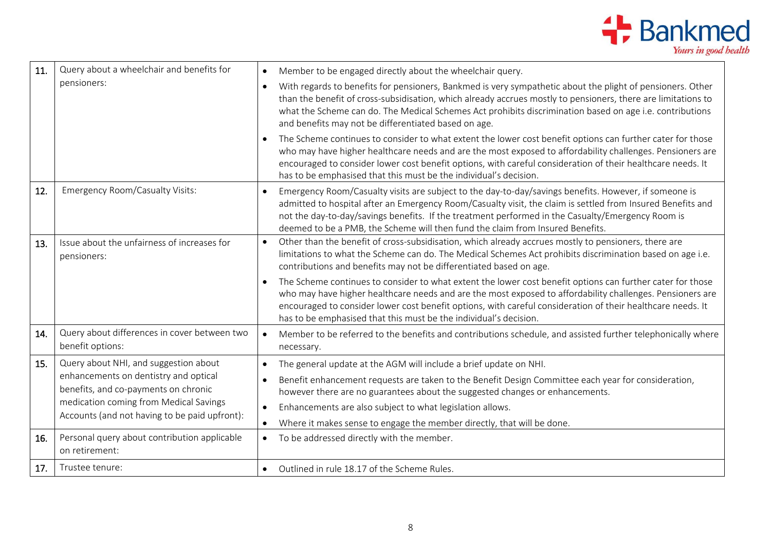

| 11. | Query about a wheelchair and benefits for                                                                              | Member to be engaged directly about the wheelchair query.                                                                                                                                                                                                                                                                                                                                                    |
|-----|------------------------------------------------------------------------------------------------------------------------|--------------------------------------------------------------------------------------------------------------------------------------------------------------------------------------------------------------------------------------------------------------------------------------------------------------------------------------------------------------------------------------------------------------|
|     | pensioners:                                                                                                            | With regards to benefits for pensioners, Bankmed is very sympathetic about the plight of pensioners. Other<br>$\bullet$<br>than the benefit of cross-subsidisation, which already accrues mostly to pensioners, there are limitations to<br>what the Scheme can do. The Medical Schemes Act prohibits discrimination based on age i.e. contributions<br>and benefits may not be differentiated based on age. |
|     |                                                                                                                        | The Scheme continues to consider to what extent the lower cost benefit options can further cater for those<br>who may have higher healthcare needs and are the most exposed to affordability challenges. Pensioners are<br>encouraged to consider lower cost benefit options, with careful consideration of their healthcare needs. It<br>has to be emphasised that this must be the individual's decision.  |
| 12. | <b>Emergency Room/Casualty Visits:</b>                                                                                 | Emergency Room/Casualty visits are subject to the day-to-day/savings benefits. However, if someone is<br>admitted to hospital after an Emergency Room/Casualty visit, the claim is settled from Insured Benefits and<br>not the day-to-day/savings benefits. If the treatment performed in the Casualty/Emergency Room is<br>deemed to be a PMB, the Scheme will then fund the claim from Insured Benefits.  |
| 13. | Issue about the unfairness of increases for<br>pensioners:                                                             | Other than the benefit of cross-subsidisation, which already accrues mostly to pensioners, there are<br>$\bullet$<br>limitations to what the Scheme can do. The Medical Schemes Act prohibits discrimination based on age i.e.<br>contributions and benefits may not be differentiated based on age.                                                                                                         |
|     |                                                                                                                        | The Scheme continues to consider to what extent the lower cost benefit options can further cater for those<br>who may have higher healthcare needs and are the most exposed to affordability challenges. Pensioners are<br>encouraged to consider lower cost benefit options, with careful consideration of their healthcare needs. It<br>has to be emphasised that this must be the individual's decision.  |
| 14. | Query about differences in cover between two<br>benefit options:                                                       | Member to be referred to the benefits and contributions schedule, and assisted further telephonically where<br>necessary.                                                                                                                                                                                                                                                                                    |
| 15. | Query about NHI, and suggestion about<br>enhancements on dentistry and optical<br>benefits, and co-payments on chronic | The general update at the AGM will include a brief update on NHI.<br>$\bullet$<br>Benefit enhancement requests are taken to the Benefit Design Committee each year for consideration,                                                                                                                                                                                                                        |
|     | medication coming from Medical Savings                                                                                 | however there are no guarantees about the suggested changes or enhancements.<br>Enhancements are also subject to what legislation allows.<br>$\bullet$                                                                                                                                                                                                                                                       |
|     | Accounts (and not having to be paid upfront):                                                                          | Where it makes sense to engage the member directly, that will be done.                                                                                                                                                                                                                                                                                                                                       |
| 16. | Personal query about contribution applicable<br>on retirement:                                                         | To be addressed directly with the member.                                                                                                                                                                                                                                                                                                                                                                    |
| 17. | Trustee tenure:                                                                                                        | Outlined in rule 18.17 of the Scheme Rules.                                                                                                                                                                                                                                                                                                                                                                  |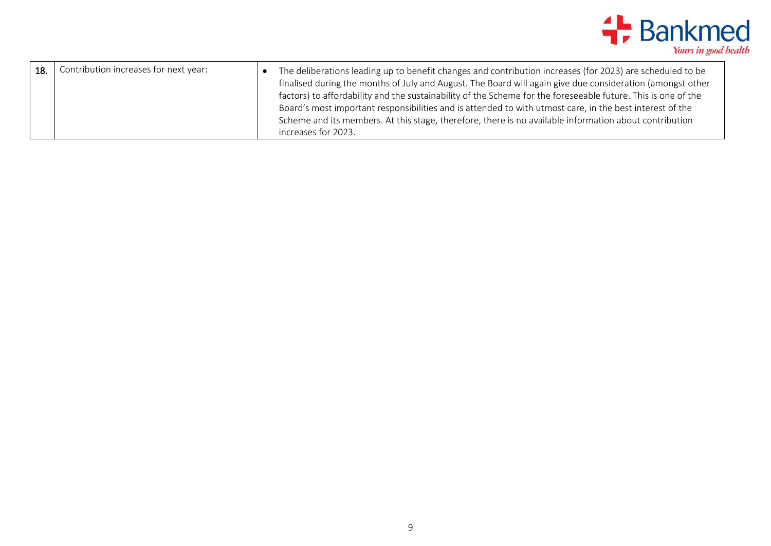

| 18. | Contribution increases for next year: | The deliberations leading up to benefit changes and contribution increases (for 2023) are scheduled to be     |
|-----|---------------------------------------|---------------------------------------------------------------------------------------------------------------|
|     |                                       | finalised during the months of July and August. The Board will again give due consideration (amongst other    |
|     |                                       | factors) to affordability and the sustainability of the Scheme for the foreseeable future. This is one of the |
|     |                                       | Board's most important responsibilities and is attended to with utmost care, in the best interest of the      |
|     |                                       | Scheme and its members. At this stage, therefore, there is no available information about contribution        |
|     |                                       | increases for 2023.                                                                                           |